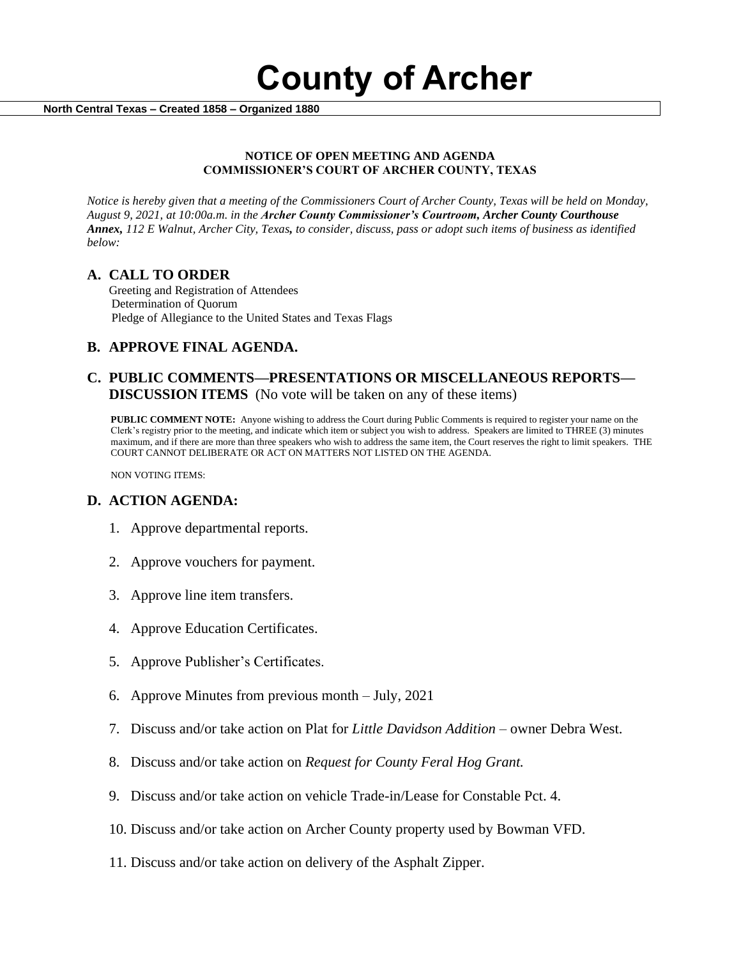**County of Archer** 

 **North Central Texas – Created 1858 – Organized 1880**

#### **NOTICE OF OPEN MEETING AND AGENDA COMMISSIONER'S COURT OF ARCHER COUNTY, TEXAS**

*Notice is hereby given that a meeting of the Commissioners Court of Archer County, Texas will be held on Monday, August 9, 2021, at 10:00a.m. in the Archer County Commissioner's Courtroom, Archer County Courthouse Annex, 112 E Walnut, Archer City, Texas, to consider, discuss, pass or adopt such items of business as identified below:*

## **A. CALL TO ORDER**

 Greeting and Registration of Attendees Determination of Quorum Pledge of Allegiance to the United States and Texas Flags

# **B. APPROVE FINAL AGENDA.**

## **C. PUBLIC COMMENTS—PRESENTATIONS OR MISCELLANEOUS REPORTS— DISCUSSION ITEMS** (No vote will be taken on any of these items)

**PUBLIC COMMENT NOTE:** Anyone wishing to address the Court during Public Comments is required to register your name on the Clerk's registry prior to the meeting, and indicate which item or subject you wish to address. Speakers are limited to THREE (3) minutes maximum, and if there are more than three speakers who wish to address the same item, the Court reserves the right to limit speakers. THE COURT CANNOT DELIBERATE OR ACT ON MATTERS NOT LISTED ON THE AGENDA.

NON VOTING ITEMS:

### **D. ACTION AGENDA:**

- 1. Approve departmental reports.
- 2. Approve vouchers for payment.
- 3. Approve line item transfers.
- 4. Approve Education Certificates.
- 5. Approve Publisher's Certificates.
- 6. Approve Minutes from previous month July, 2021
- 7. Discuss and/or take action on Plat for *Little Davidson Addition*  owner Debra West.
- 8. Discuss and/or take action on *Request for County Feral Hog Grant.*
- 9. Discuss and/or take action on vehicle Trade-in/Lease for Constable Pct. 4.
- 10. Discuss and/or take action on Archer County property used by Bowman VFD.
- 11. Discuss and/or take action on delivery of the Asphalt Zipper.